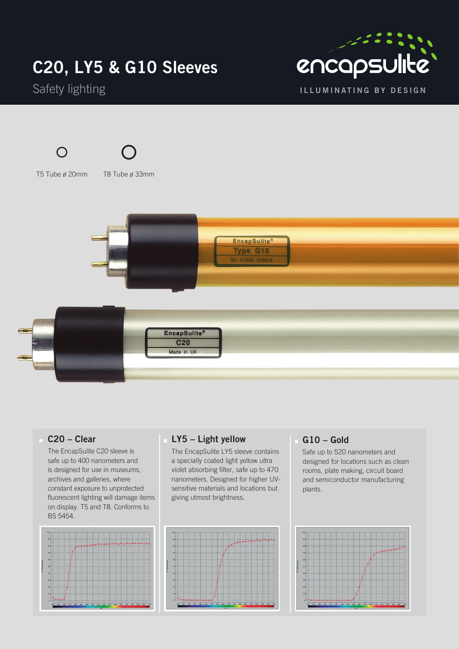## **C20, LY5 & G10 Sleeves**









T5 Tube ø 20mm T8 Tube ø 33mm





#### **C20 – Clear**

 The EncapSulite C20 sleeve is safe up to 400 nanometers and is designed for use in museums, archives and galleries, where constant exposure to unprotected fluorescent lighting will damage items on display. T5 and T8. Conforms to BS 5454.



#### **LY5 – Light yellow**

 The EncapSulite LY5 sleeve contains a specially coated light yellow ultra violet absorbing filter, safe up to 470 nanometers. Designed for higher UVsensitive materials and locations but giving utmost brightness.



#### **G10 – Gold**

 Safe up to 520 nanometers and designed for locations such as clean rooms, plate making, circuit board and semiconductor manufacturing plants.